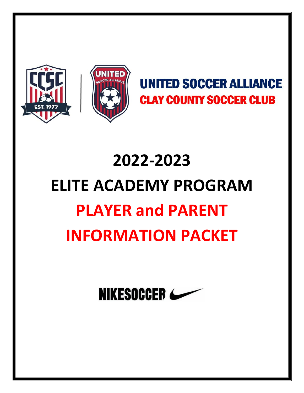



## **UNITED SOCCER ALLIANCE CLAY COUNTY SOCCER CLUB**

# 2022-2023 ELITE ACADEMY PROGRAM PLAYER and PARENT INFORMATION PACKET

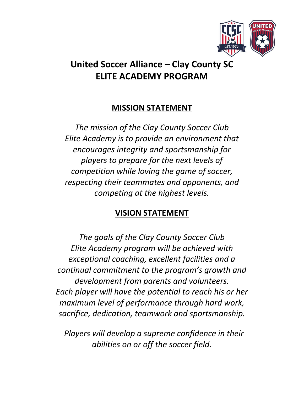

## United Soccer Alliance – Clay County SC ELITE ACADEMY PROGRAM

#### MISSION STATEMENT

*The mission of the Clay County Soccer Club Elite Academy is to provide an environment that encourages integrity and sportsmanship for players to prepare for the next levels of competition while loving the game of soccer, respecting their teammates and opponents, and competing at the highest levels.*

#### VISION STATEMENT

*The goals of the Clay County Soccer Club Elite Academy program will be achieved with exceptional coaching, excellent facilities and a continual commitment to the program's growth and development from parents and volunteers. Each player will have the potential to reach his or her maximum level of performance through hard work, sacrifice, dedication, teamwork and sportsmanship.*

 *Players will develop a supreme confidence in their abilities on or off the soccer field.*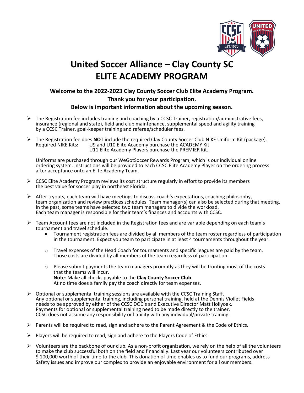

## United Soccer Alliance – Clay County SC ELITE ACADEMY PROGRAM

#### Welcome to the 2022-2023 Clay County Soccer Club Elite Academy Program. Thank you for your participation. Below is important information about the upcoming season.

- $\triangleright$  The Registration fee includes training and coaching by a CCSC Trainer, registration/administrative fees, insurance (regional and state), field and club maintenance, supplemental speed and agility training by a CCSC Trainer, goal-keeper training and referee/scheduler fees.
- The Registration fee does **NOT** include the required Clay County Soccer Club NIKE Uniform Kit (package).<br>Required NIKE Kits: U9 and U10 Elite Academy purchase the ACADEMY Kit U11 Elite Academy Players purchase the PREMIER Kit.

Uniforms are purchased through our WeGotSoccer Rewards Program, which is our individual online ordering system. Instructions will be provided to each CCSC Elite Academy Player on the ordering process after acceptance onto an Elite Academy Team.

- $\triangleright$  CCSC Elite Academy Program reviews its cost structure regularly in effort to provide its members the best value for soccer play in northeast Florida.
- $\triangleright$  After tryouts, each team will have meetings to discuss coach's expectations, coaching philosophy, team organization and review practices schedules. Team manager(s) can also be selected during that meeting. In the past, some teams have selected two team managers to divide the workload. Each team manager is responsible for their team's finances and accounts with CCSC.
- $\triangleright$  Team Account fees are not included in the Registration fees and are variable depending on each team's tournament and travel schedule.
	- Tournament registration fees are divided by all members of the team roster regardless of participation in the tournament. Expect you team to participate in at least 4 tournaments throughout the year.
	- $\circ$  Travel expenses of the Head Coach for tournaments and specific leagues are paid by the team. Those costs are divided by all members of the team regardless of participation.
	- $\circ$  Please submit payments the team managers promptly as they will be fronting most of the costs that the teams will incur. Note: Make all checks payable to the Clay County Soccer Club. At no time does a family pay the coach directly for team expenses.
- $\triangleright$  Optional or supplemental training sessions are available with the CCSC Training Staff. Any optional or supplemental training, including personal training, held at the Dennis Viollet Fields needs to be approved by either of the CCSC DOC's and Executive Director Matt Hollyoak.<br>Payments for optional or supplemental training need to be made directly to the trainer. CCSC does not assume any responsibility or liability with any individual/private training.
- $\triangleright$  Parents will be required to read, sign and adhere to the Parent Agreement & the Code of Ethics.
- $\triangleright$  Players will be required to read, sign and adhere to the Players Code of Ethics.
- $\triangleright$  Volunteers are the backbone of our club. As a non-profit organization, we rely on the help of all the volunteers to make the club successful both on the field and financially. Last year our volunteers contributed over \$ 100,000 worth of their time to the club. This donation of time enables us to fund our programs, address Safety issues and improve our complex to provide an enjoyable environment for all our members.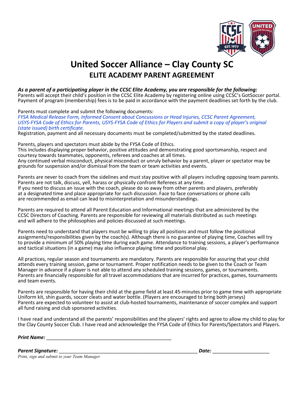

### United Soccer Alliance – Clay County SC ELITE ACADEMY PARENT AGREEMENT

#### *As a parent of a participating player in the CCSC Elite Academy, you are responsible for the following:*

Parents will accept their child's position in the CCSC Elite Academy by registering online using CCSC's GotSoccer portal. Payment of program (membership) fees is to be paid in accordance with the payment deadlines set forth by the club.

Parents must complete and submit the following documents:

*FYSA Medical Release Form, Informed Consent about Concussions or Head Injuries, CCSC Parent Agreement,*  USYS-FYSA Code of Ethics for Parents, USYS-FYSA Code of Ethics for Players and submit a copy of player's original *(state issued) birth certificate.* 

Registration, payment and all necessary documents must be completed/submitted by the stated deadlines.

Parents, players and spectators must abide by the FYSA Code of Ethics. This includes displaying proper behavior, positive attitudes and demonstrating good sportsmanship, respect and courtesy towards teammates, opponents, referees and coaches at all times. Any continued verbal misconduct, physical misconduct or unruly behavior by a parent, player or spectator may be grounds for suspension and/or dismissal from the team or team activities and events.

Parents are never to coach from the sidelines and must stay positive with all players including opposing team parents. Parents are not talk, discuss, yell, harass or physically confront Referees at any time. If you need to discuss an issue with the coach, please do so away from other parents and players, preferably at a designated time and place appropriate for such discussion. Face to face conversations or phone calls are recommended as email can lead to misinterpretation and misunderstandings.

Parents are required to attend all Parent Education and Informational meetings that are administered by the CCSC Directors of Coaching. Parents are responsible for reviewing all materials distributed as such meetings and will adhere to the philosophies and policies discussed at such meetings.

Parents need to understand that players must be willing to play all positions and must follow the positional assignments/responsibilities given by the coach(s). Although there is no guarantee of playing time, Coaches will try to provide a minimum of 50% playing time during each game. Attendance to training sessions, a player's performance and tactical situations (in a game) may also influence playing time and positional play.

All practices, regular season and tournaments are mandatory. Parents are responsible for assuring that your child attends every training session, game or tournament. Proper notification needs to be given to the Coach or Team Manager in advance if a player is not able to attend any scheduled training sessions, games, or tournaments. Parents are financially responsible for all travel accommodations that are incurred for practices, games, tournaments and team events.

Parents are responsible for having their child at the game field at least 45-minutes prior to game time with appropriate Uniform kit, shin guards, soccer cleats and water bottle. (Players are encouraged to bring both jerseys) Parents are expected to volunteer to assist at club-hosted tournaments, maintenance of soccer complex and support all fund raising and club sponsored activities.

I have read and understand all the parents' responsibilities and the players' rights and agree to allow my child to play for the Clay County Soccer Club. I have read and acknowledge the FYSA Code of Ethics for Parents/Spectators and Players.

*Print Name:* \_\_\_\_\_\_\_\_\_\_\_\_\_\_\_\_\_\_\_\_\_\_\_\_\_\_\_\_\_\_\_\_\_\_\_\_\_\_\_\_\_\_\_\_\_\_

*Parent Signature:* \_\_\_\_\_\_\_\_\_\_\_\_\_\_\_\_\_\_\_\_\_\_\_\_\_\_\_\_\_\_\_\_\_\_\_\_\_\_\_\_\_\_\_\_\_\_\_\_\_\_\_ *Date:* \_\_\_\_\_\_\_\_\_\_\_\_\_\_\_\_\_\_\_\_\_

*Print, sign and submit to your Team Manager*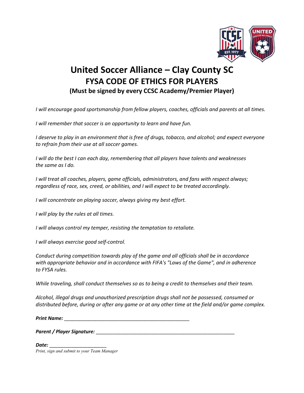

#### United Soccer Alliance – Clay County SC FYSA CODE OF ETHICS FOR PLAYERS (Must be signed by every CCSC Academy/Premier Player)

*I will encourage good sportsmanship from fellow players, coaches, officials and parents at all times.*

*I will remember that soccer is an opportunity to learn and have fun.* 

*I deserve to play in an environment that is free of drugs, tobacco, and alcohol; and expect everyone to refrain from their use at all soccer games.* 

*I will do the best I can each day, remembering that all players have talents and weaknesses the same as I do.* 

*I will treat all coaches, players, game officials, administrators, and fans with respect always; regardless of race, sex, creed, or abilities, and I will expect to be treated accordingly.* 

*I will concentrate on playing soccer, always giving my best effort.* 

*I will play by the rules at all times.* 

*I will always control my temper, resisting the temptation to retaliate.* 

*I will always exercise good self-control.* 

*Conduct during competition towards play of the game and all officials shall be in accordance with appropriate behavior and in accordance with FIFA's "Laws of the Game", and in adherence to FYSA rules.* 

*While traveling, shall conduct themselves so as to being a credit to themselves and their team.* 

*Alcohol, illegal drugs and unauthorized prescription drugs shall not be possessed, consumed or distributed before, during or after any game or at any other time at the field and/or game complex.* 

*Print Name:* \_\_\_\_\_\_\_\_\_\_\_\_\_\_\_\_\_\_\_\_\_\_\_\_\_\_\_\_\_\_\_\_\_\_\_\_\_\_\_\_\_\_\_\_\_\_

*Parent / Player Signature:* \_\_\_\_\_\_\_\_\_\_\_\_\_\_\_\_\_\_\_\_\_\_\_\_\_\_\_\_\_\_\_\_\_\_\_\_\_\_\_\_\_\_\_\_\_\_\_\_\_\_\_

*Date:* \_\_\_\_\_\_\_\_\_\_\_\_\_\_\_\_\_\_\_\_\_

*Print, sign and submit to your Team Manager*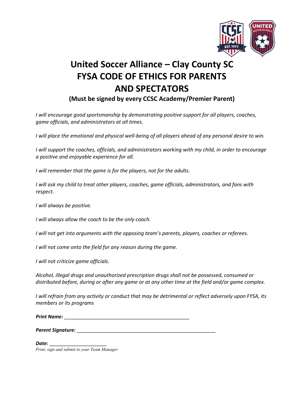

## United Soccer Alliance – Clay County SC FYSA CODE OF ETHICS FOR PARENTS AND SPECTATORS

(Must be signed by every CCSC Academy/Premier Parent)

*I will encourage good sportsmanship by demonstrating positive support for all players, coaches, game officials, and administrators at all times.* 

*I* will place the emotional and physical well-being of all players ahead of any personal desire to win.

*I* will support the coaches, officials, and administrators working with my child, in order to encourage *a positive and enjoyable experience for all.* 

*I will remember that the game is for the players, not for the adults.* 

*I will ask my child to treat other players, coaches, game officials, administrators, and fans with respect.* 

*I will always be positive.* 

*I will always allow the coach to be the only coach.* 

*I will not get into arguments with the opposing team's parents, players, coaches or referees.* 

*I will not come onto the field for any reason during the game.* 

*I will not criticize game officials.* 

*Alcohol, illegal drugs and unauthorized prescription drugs shall not be possessed, consumed or distributed before, during or after any game or at any other time at the field and/or game complex.* 

*I will refrain from any activity or conduct that may be detrimental or reflect adversely upon FYSA, its members or its programs* 

*Print Name:* \_\_\_\_\_\_\_\_\_\_\_\_\_\_\_\_\_\_\_\_\_\_\_\_\_\_\_\_\_\_\_\_\_\_\_\_\_\_\_\_\_\_\_\_\_\_

*Parent Signature:* \_\_\_\_\_\_\_\_\_\_\_\_\_\_\_\_\_\_\_\_\_\_\_\_\_\_\_\_\_\_\_\_\_\_\_\_\_\_\_\_\_\_\_\_\_\_\_\_\_\_\_

*Date:* \_\_\_\_\_\_\_\_\_\_\_\_\_\_\_\_\_\_\_\_\_ *Print, sign and submit to your Team Manager*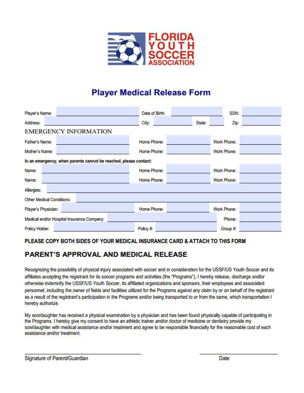

#### **Player Medical Release Form**

| Player's Name:                                                   | Date of Birth: |        | SSN:        |  |
|------------------------------------------------------------------|----------------|--------|-------------|--|
| Address:                                                         | City:          | State: | Zip:        |  |
| <b>EMERGENCY INFORMATION</b>                                     |                |        |             |  |
| Father's Name:                                                   | Home Phone:    |        | Work Phone: |  |
| Mother's Name:                                                   | Home Phone:    |        | Work Phone: |  |
| In an emergency, when parents cannot be reached, please contact: |                |        |             |  |
| Name:                                                            | Home Phone:    |        | Work Phone: |  |
| Name:                                                            | Home Phone:    |        | Work Phone: |  |
| Allergies:                                                       |                |        |             |  |
| Other Medical Conditions:                                        |                |        |             |  |
| Player's Physician:                                              | Home Phone:    |        | Work Phone: |  |
| Medical and/or Hospital Insurance Company:                       |                |        | Phone:      |  |
| Policy Holder:                                                   | Policy #:      |        | Group #:    |  |

#### PLEASE COPY BOTH SIDES OF YOUR MEDICAL INSURANCE CARD & ATTACH TO THIS FORM

#### **PARENT'S APPROVAL AND MEDICAL RELEASE**

Recognizing the possibility of physical injury associated with soccer and in consideration for the USSF/US Youth Soccer and its affiliates accepting the registrant for its soccer programs and activities (the "Programs"), I hereby release, discharge and/or otherwise indemnify the USSF/US Youth Soccer, its affiliated organizations and sponsors, their employees and associated personnel, including the owner of fields and facilities utilized for the Programs against any claim by or on behalf of the registrant as a result of the registrant's participation in the Programs and/or being transported to or from the same, which transportation I hereby authorize.

My son/daughter has received a physical examination by a physician and has been found physically capable of participating in the Programs. I hereby give my consent to have an athletic trainer and/or doctor of medicine or dentistry provide my son/daughter with medical assistance and/or treatment and agree to be responsible financially for the reasonable cost of each assistance and/or treatment.

Signature of Parent/Guardian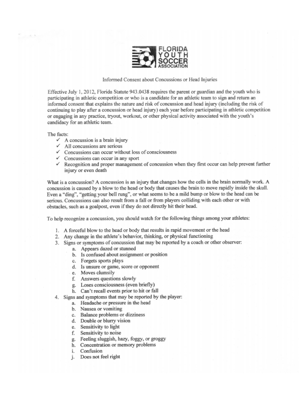

Informed Consent about Concussions or Head Injuries

Effective July 1, 2012, Florida Statute 943,0438 requires the parent or guardian and the youth who is participating in athletic competition or who is a candidate for an athletic team to sign and return an informed consent that explains the nature and risk of concussion and head injury (including the risk of continuing to play after a concussion or head injury) each vear before participating in athletic competition or engaging in any practice, tryout, workout, or other physical activity associated with the youth's candidacy for an athletic team.

The facts:

 $\frac{1}{2}$ 

- $\checkmark$  A concussion is a brain injury
- $\checkmark$  All concussions are serious
- $\checkmark$  Concussions can occur without loss of consciousness
- $\checkmark$  Concussions can occur in any sport
- $\checkmark$  Recognition and proper management of concussion when they first occur can help prevent further injury or even death

What is a concussion? A concussion is an injury that changes how the cells in the brain normally work. A concussion is caused by a blow to the head or body that causes the brain to move rapidly inside the skull. Even a "ding", "getting your bell rung", or what seems to be a mild bump or blow to the head can be serious. Concussions can also result from a fall or from players colliding with each other or with obstacles, such as a goalpost, even if they do not directly hit their head.

To help recognize a concussion, you should watch for the following things among your athletes:

- 1. A forceful blow to the head or body that results in rapid movement or the head
- 2. Any change in the athlete's behavior, thinking, or physical functioning
- 3. Signs or symptoms of concussion that may be reported by a coach or other observer:
	- a. Appears dazed or stunned
	- b. Is confused about assignment or position
	- c. Forgets sports plays
	- d. Is unsure or game, score or opponent
	- e. Moves clumsily
	- f. Answers questions slowly
	- g. Loses consciousness (even briefly)
	- h. Can't recall events prior to hit or fall
- 4. Signs and symptoms that may be reported by the player:
	- a. Headache or pressure in the head
	- b. Nausea or vomiting
	- c. Balance problems or dizziness
	- d. Double or blurry vision
	- e. Sensitivity to light
	- f. Sensitivity to noise
	- g. Feeling sluggish, hazy, foggy, or groggy
	- h. Concentration or memory problems
	- i. Confusion
	- j. Does not feel right